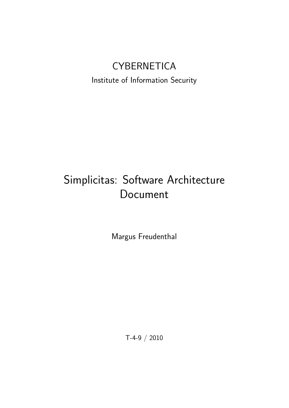# **CYBERNETICA**

Institute of Information Security

# Simplicitas: Software Architecture Document

Margus Freudenthal

T-4-9 / 2010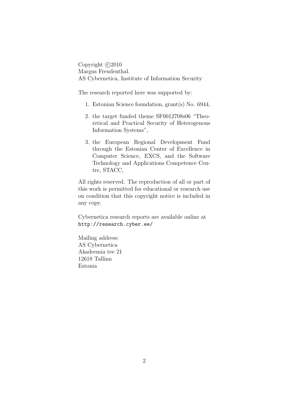Copyright  $\odot$ 2010 Margus Freudenthal. AS Cybernetica, Institute of Information Security

The research reported here was supported by:

- 1. Estonian Science foundation, grant(s) No. 6944,
- 2. the target funded theme SF0012708s06 "Theoretical and Practical Security of Heterogenous Information Systems",
- 3. the European Regional Development Fund through the Estonian Center of Excellence in Computer Science, EXCS, and the Software Technology and Applications Competence Centre, STACC,

All rights reserved. The reproduction of all or part of this work is permitted for educational or research use on condition that this copyright notice is included in any copy.

Cybernetica research reports are available online at http://research.cyber.ee/

Mailing address: AS Cybernetica Akadeemia tee 21 12618 Tallinn Estonia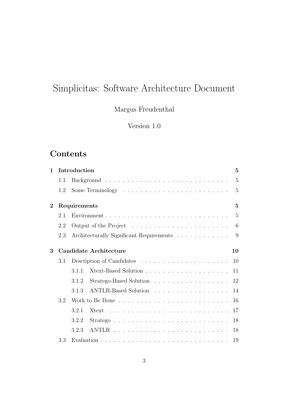# Simplicitas: Software Architecture Document

Margus Freudenthal

Version 1.0

# Contents

| $\mathbf 1$    |     | Introduction                             | $\overline{5}$ |
|----------------|-----|------------------------------------------|----------------|
|                | 1.1 |                                          | $\overline{5}$ |
|                | 1.2 |                                          | $\overline{5}$ |
| $\overline{2}$ |     | Requirements                             | $\overline{5}$ |
|                | 2.1 |                                          | $\overline{5}$ |
|                | 2.2 |                                          | 6              |
|                | 2.3 | Architecturally Significant Requirements | 9              |
| 3              |     | <b>Candidate Architecture</b>            | 10             |
|                | 3.1 |                                          |                |
|                |     | 3.1.1                                    | 11             |
|                |     | 3.1.2                                    | 12             |
|                |     | ANTLR-Based Solution<br>3.1.3            | 14             |
|                | 3.2 |                                          | 16             |
|                |     | 3.2.1                                    | 17             |
|                |     | 3.2.2                                    | 18             |
|                |     | 3.2.3                                    | 18             |
|                | 3.3 |                                          | 19             |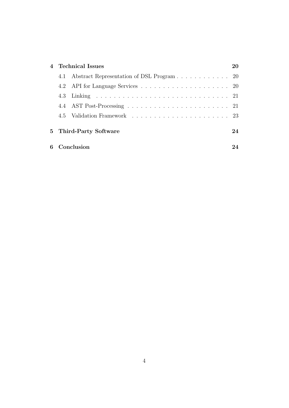| $\overline{4}$ | <b>Technical Issues</b> |                                           |    |  |
|----------------|-------------------------|-------------------------------------------|----|--|
|                | 4.1                     | Abstract Representation of DSL Program 20 |    |  |
|                |                         |                                           |    |  |
|                |                         |                                           |    |  |
|                |                         |                                           |    |  |
|                |                         |                                           |    |  |
|                | 5 Third-Party Software  |                                           | 24 |  |
| 6              |                         | Conclusion                                | 94 |  |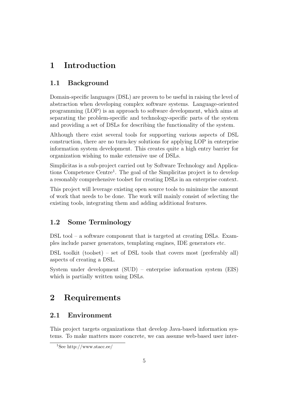# 1 Introduction

### 1.1 Background

Domain-specific languages (DSL) are proven to be useful in raising the level of abstraction when developing complex software systems. Language-oriented programming (LOP) is an approach to software development, which aims at separating the problem-specific and technology-specific parts of the system and providing a set of DSLs for describing the functionality of the system.

Although there exist several tools for supporting various aspects of DSL construction, there are no turn-key solutions for applying LOP in enterprise information system development. This creates quite a high entry barrier for organization wishing to make extensive use of DSLs.

Simplicitas is a sub-project carried out by Software Technology and Applications Competence Centre<sup>1</sup>. The goal of the Simplicitas project is to develop a resonably comprehensive toolset for creating DSLs in an enterprise context.

This project will leverage existing open source tools to minimize the amount of work that needs to be done. The work will mainly consist of selecting the existing tools, integrating them and adding additional features.

#### 1.2 Some Terminology

DSL tool – a software component that is targeted at creating DSLs. Examples include parser generators, templating engines, IDE generators etc.

DSL toolkit (toolset) – set of DSL tools that covers most (preferably all) aspects of creating a DSL.

System under development (SUD) – enterprise information system (EIS) which is partially written using DSLs.

# 2 Requirements

#### 2.1 Environment

This project targets organizations that develop Java-based information systems. To make matters more concrete, we can assume web-based user inter-

<sup>1</sup>See http://www.stacc.ee/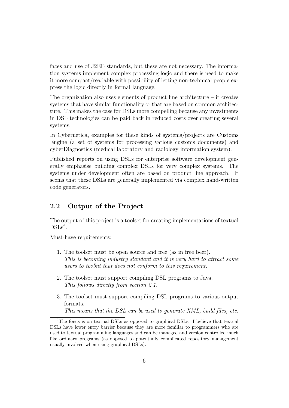faces and use of J2EE standards, but these are not necessary. The information systems implement complex processing logic and there is need to make it more compact/readable with possibility of letting non-technical people express the logic directly in formal language.

The organization also uses elements of product line architecture  $-$  it creates systems that have similar functionality or that are based on common architecture. This makes the case for DSLs more compelling because any investments in DSL technologies can be paid back in reduced costs over creating several systems.

In Cybernetica, examples for these kinds of systems/projects are Customs Engine (a set of systems for processing various customs documents) and cyberDiagnostics (medical laboratory and radiology information system).

Published reports on using DSLs for enterprise software development generally emphasise building complex DSLs for very complex systems. The systems under development often are based on product line approach. It seems that these DSLs are generally implemented via complex hand-written code generators.

#### 2.2 Output of the Project

The output of this project is a toolset for creating implementations of textual  $DSLs<sup>2</sup>$ .

Must-have requirements:

- 1. The toolset must be open source and free (as in free beer). This is becoming industry standard and it is very hard to attract some users to toolkit that does not conform to this requirement.
- 2. The toolset must support compiling DSL programs to Java. This follows directly from section 2.1.
- 3. The toolset must support compiling DSL programs to various output formats.

This means that the DSL can be used to generate XML, build files, etc.

<sup>2</sup>The focus is on textual DSLs as opposed to graphical DSLs. I believe that textual DSLs have lower entry barrier because they are more familiar to programmers who are used to textual programming languages and can be managed and version controlled much like ordinary programs (as opposed to potentially complicated repository management usually involved when using graphical DSLs).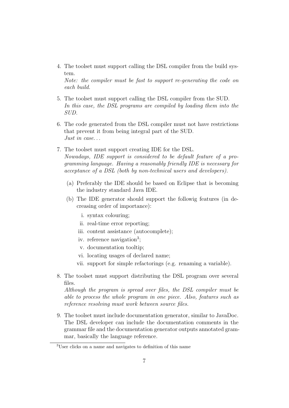4. The toolset must support calling the DSL compiler from the build system.

Note: the compiler must be fast to support re-generating the code on each build.

- 5. The toolset must support calling the DSL compiler from the SUD. In this case, the DSL programs are compiled by loading them into the SUD.
- 6. The code generated from the DSL compiler must not have restrictions that prevent it from being integral part of the SUD. Just in case. . .
- 7. The toolset must support creating IDE for the DSL. Nowadays, IDE support is considered to be default feature of a programming language. Having a reasonably friendly IDE is necessary for acceptance of a DSL (both by non-technical users and developers).
	- (a) Preferably the IDE should be based on Eclipse that is becoming the industry standard Java IDE.
	- (b) The IDE generator should support the followig features (in decreasing order of importance):
		- i. syntax colouring;
		- ii. real-time error reporting;
		- iii. content assistance (autocomplete);
		- iv. reference navigation<sup>3</sup>;
		- v. documentation tooltip;
		- vi. locating usages of declared name;
		- vii. support for simple refactorings (e.g. renaming a variable).
- 8. The toolset must support distributing the DSL program over several files.

Although the program is spread over files, the DSL compiler must be able to process the whole program in one piece. Also, features such as reference resolving must work between source files.

9. The toolset must include documentation generator, similar to JavaDoc. The DSL developer can include the documentation comments in the grammar file and the documentation generator outputs annotated grammar, basically the language reference.

<sup>3</sup>User clicks on a name and navigates to definition of this name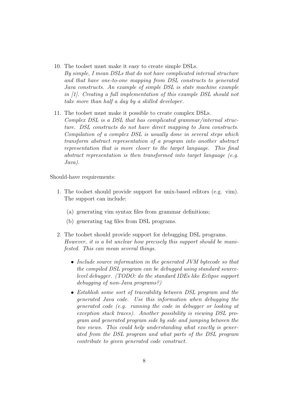- 10. The toolset must make it easy to create simple DSLs. By simple, I mean DSLs that do not have complicated internal structure and that have one-to-one mapping from DSL constructs to generated Java constructs. An example of simple DSL is state machine example in [1]. Creating a full implementation of this example DSL should not take more than half a day by a skilled developer.
- 11. The toolset must make it possible to create complex DSLs. Complex DSL is a DSL that has complicated grammar/internal structure. DSL constructs do not have direct mapping to Java constructs. Compilation of a complex DSL is usually done in several steps which transform abstract representation of a program into another abstract representation that is more closer to the target language. This final abstract representation is then transformed into target language  $(e.g.$ Java).

Should-have requirements:

- 1. The toolset should provide support for unix-based editors (e.g. vim). The support can include:
	- (a) generating vim syntax files from grammar definitions;
	- (b) generating tag files from DSL programs.
- 2. The toolset should provide support for debugging DSL programs. However, it is a bit unclear how precisely this support should be manifested. This can mean several things.
	- Include source information in the generated JVM bytecode so that the compiled DSL program can be debugged using standard sourcelevel debugger. (TODO: do the standard IDEs like Eclipse support debugging of non-Java programs?)
	- Establish some sort of traceability between DSL program and the generated Java code. Use this information when debugging the generated code (e.g. running the code in debugger or looking at exception stack traces). Another possibility is viewing DSL program and generated program side by side and jumping between the two views. This could help understanding what exactly is generated from the DSL program and what parts of the DSL program contribute to given generated code construct.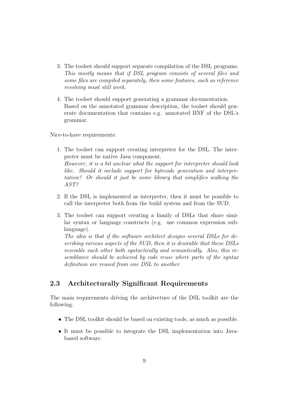- 3. The toolset should support separate compilation of the DSL programs. This mostly means that if DSL program consists of several files and some files are compiled separately, then some features, such as reference resolving must still work.
- 4. The toolset should support generating a grammar documentation. Based on the annotated grammar description, the toolset should generate documentation that contains e.g. annotated BNF of the DSL's grammar.

Nice-to-have requirements:

- 1. The toolset can support creating interpreter for the DSL. The interpreter must be native Java component. However, it is a bit unclear what the support for interpreter should look like. Should it include support for bytecode generation and interpretation? Or should it just be some library that simplifies walking the AST?
- 2. If the DSL is implemented as interpreter, then it must be possible to call the interpreter both from the build system and from the SUD.
- 3. The toolset can support creating a family of DSLs that share similar syntax or language constructs (e.g. use common expression sublanguage).

The idea is that if the software architect designs several DSLs for describing various aspects of the SUD, then it is desirable that these DSLs resemble each other both syntactically and semantically. Also, this resemblance should be achieved by code reuse where parts of the syntax definition are reused from one DSL to another.

#### 2.3 Architecturally Significant Requirements

The main requirements driving the architecture of the DSL toolkit are the following.

- The DSL toolkit should be based on existing tools, as much as possible.
- It must be possible to integrate the DSL implementation into Javabased software.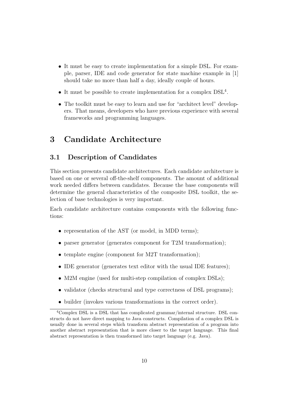- It must be easy to create implementation for a simple DSL. For example, parser, IDE and code generator for state machine example in [1] should take no more than half a day, ideally couple of hours.
- It must be possible to create implementation for a complex  $DSL<sup>4</sup>$ .
- The toolkit must be easy to learn and use for "architect level" developers. That means, developers who have previous experience with several frameworks and programming languages.

### 3 Candidate Architecture

#### 3.1 Description of Candidates

This section presents candidate architectures. Each candidate architecture is based on one or several off-the-shelf components. The amount of additional work needed differs between candidates. Because the base components will determine the general characteristics of the composite DSL toolkit, the selection of base technologies is very important.

Each candidate architecture contains components with the following functions:

- representation of the AST (or model, in MDD terms);
- parser generator (generates component for T2M transformation);
- template engine (component for M2T transformation);
- IDE generator (generates text editor with the usual IDE features);
- M2M engine (used for multi-step compilation of complex DSLs);
- validator (checks structural and type correctness of DSL programs);
- builder (invokes various transformations in the correct order).

<sup>4</sup>Complex DSL is a DSL that has complicated grammar/internal structure. DSL constructs do not have direct mapping to Java constructs. Compilation of a complex DSL is usually done in several steps which transform abstract representation of a program into another abstract representation that is more closer to the target language. This final abstract representation is then transformed into target language (e.g. Java).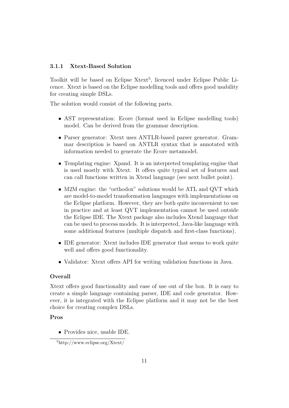#### 3.1.1 Xtext-Based Solution

Toolkit will be based on Eclipse Xtext<sup>5</sup>, licenced under Eclipse Public Licence. Xtext is based on the Eclipse modelling tools and offers good usability for creating simple DSLs.

The solution would consist of the following parts.

- AST representation: Ecore (format used in Eclipse modelling tools) model. Can be derived from the grammar description.
- Parser generator: Xtext uses ANTLR-based parser generator. Grammar description is based on ANTLR syntax that is annotated with information needed to generate the Ecore metamodel.
- Templating engine: Xpand. It is an interpreted templating engine that is used mostly with Xtext. It offers quite typical set of features and can call functions written in Xtend language (see next bullet point).
- M2M engine: the "orthodox" solutions would be ATL and QVT which are model-to-model transformation languages with implementations on the Eclipse platform. However, they are both quite inconvenient to use in practice and at least QVT implementation cannot be used outside the Eclipse IDE. The Xtext package also includes Xtend language that can be used to process models. It is interpreted, Java-like language with some additional features (multiple dispatch and first-class functions).
- IDE generator: Xtext includes IDE generator that seems to work quite well and offers good functionality.
- Validator: Xtext offers API for writing validation functions in Java.

#### Overall

Xtext offers good functionality and ease of use out of the box. It is easy to create a simple language containing parser, IDE and code generator. However, it is integrated with the Eclipse platform and it may not be the best choice for creating complex DSLs.

#### Pros

• Provides nice, usable IDE.

<sup>5</sup>http://www.eclipse.org/Xtext/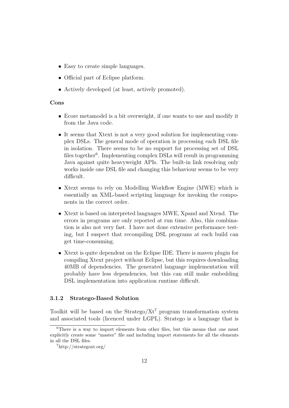- Easy to create simple languages.
- Official part of Eclipse platform.
- Actively developed (at least, actively promoted).

#### Cons

- Ecore metamodel is a bit overweight, if one wants to use and modify it from the Java code.
- It seems that Xtext is not a very good solution for implementing complex DSLs. The general mode of operation is processing each DSL file in isolation. There seems to be no support for processing set of DSL files together<sup>6</sup>. Implementing complex DSLs will result in programming Java against quite heavyweight APIs. The built-in link resolving only works inside one DSL file and changing this behaviour seems to be very difficult.
- Xtext seems to rely on Modelling Workflow Engine (MWE) which is essentially an XML-based scripting language for invoking the components in the correct order.
- Xtext is based on interpreted languages MWE, Xpand and Xtend. The errors in programs are only reported at run time. Also, this combination is also not very fast. I have not done extensive performance testing, but I suspect that recompiling DSL programs at each build can get time-consuming.
- Xtext is quite dependent on the Eclipse IDE. There is maven plugin for compiling Xtext project without Eclipse, but this requires downloading 40MB of dependencies. The generated language implementation will probably have less dependencies, but this can still make embedding DSL implementation into application runtime difficult.

#### 3.1.2 Stratego-Based Solution

Toolkit will be based on the Stratego/ $Xt^7$  program transformation system and associated tools (licenced under LGPL). Stratego is a language that is

 $6$ There is a way to import elements from other files, but this means that one must explicitly create some "master" file and including import statements for all the elements in all the DSL files.

<sup>7</sup>http://strategoxt.org/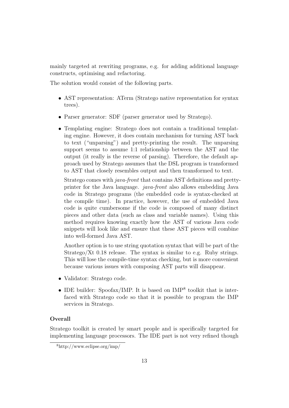mainly targeted at rewriting programs, e.g. for adding additional language constructs, optimising and refactoring.

The solution would consist of the following parts.

- AST representation: ATerm (Stratego native representation for syntax trees).
- Parser generator: SDF (parser generator used by Stratego).
- Templating engine: Stratego does not contain a traditional templating engine. However, it does contain mechanism for turning AST back to text ("unparsing") and pretty-printing the result. The unparsing support seems to assume 1:1 relationship between the AST and the output (it really is the reverse of parsing). Therefore, the default approach used by Stratego assumes that the DSL program is transformed to AST that closely resembles output and then transformed to text.

Stratego comes with java-front that contains AST definitions and prettyprinter for the Java language. java-front also allows embedding Java code in Stratego programs (the embedded code is syntax-checked at the compile time). In practice, however, the use of embedded Java code is quite cumbersome if the code is composed of many distinct pieces and other data (such as class and variable names). Using this method requires knowing exactly how the AST of various Java code snippets will look like and ensure that these AST pieces will combine into well-formed Java AST.

Another option is to use string quotation syntax that will be part of the Stratego/Xt 0.18 release. The syntax is similar to e.g. Ruby strings. This will lose the compile-time syntax checking, but is more convenient because various issues with composing AST parts will disappear.

- Validator: Stratego code.
- IDE builder: Spoofax/IMP. It is based on IMP<sup>8</sup> toolkit that is interfaced with Stratego code so that it is possible to program the IMP services in Stratego.

#### Overall

Stratego toolkit is created by smart people and is specifically targeted for implementing language processors. The IDE part is not very refined though

<sup>8</sup>http://www.eclipse.org/imp/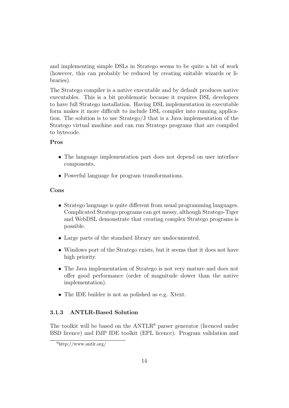and implementing simple DSLs in Stratego seems to be quite a bit of work (however, this can probably be reduced by creating suitable wizards or libraries).

The Stratego compiler is a native executable and by default produces native executables. This is a bit problematic because it requires DSL developers to have full Stratego installation. Having DSL implementation in executable form makes it more difficult to include DSL compiler into running application. The solution is to use Stratego/J that is a Java implementation of the Stratego virtual machine and can run Stratego programs that are compiled to bytecode.

#### Pros

- The language implementation part does not depend on user interface components.
- Powerful language for program transformations.

#### Cons

- Stratego language is quite different from usual programming languages. Complicated Stratego programs can get messy, although Stratego-Tiger and WebDSL demonstrate that creating complex Stratego programs is possible.
- Large parts of the standard library are undocumented.
- Windows port of the Stratego exists, but it seems that it does not have high priority.
- The Java implementation of Stratego is not very mature and does not offer good performance (order of magnitude slower than the native implementation).
- The IDE builder is not as polished as e.g. Xtext.

#### 3.1.3 ANTLR-Based Solution

The toolkit will be based on the  $ANTLR<sup>9</sup>$  parser generator (licenced under BSD licence) and IMP IDE toolkit (EPL licence). Program validation and

<sup>9</sup>http://www.antlr.org/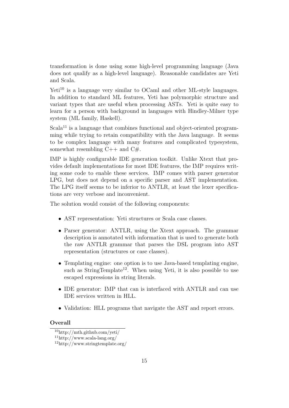transformation is done using some high-level programming language (Java does not qualify as a high-level language). Reasonable candidates are Yeti and Scala.

 $Yet<sup>10</sup>$  is a language very similar to OCaml and other ML-style languages. In addition to standard ML features, Yeti has polymorphic structure and variant types that are useful when processing ASTs. Yeti is quite easy to learn for a person with background in languages with Hindley-Milner type system (ML family, Haskell).

 $Scala<sup>11</sup>$  is a language that combines functional and object-oriented programming while trying to retain compatibility with the Java language. It seems to be complex language with many features and complicated typesystem, somewhat resembling  $C++$  and  $C#$ .

IMP is highly configurable IDE generation toolkit. Unlike Xtext that provides default implementations for most IDE features, the IMP requires writing some code to enable these services. IMP comes with parser generator LPG, but does not depend on a specific parser and AST implementation. The LPG itself seems to be inferior to ANTLR, at least the lexer specifications are very verbose and inconvenient.

The solution would consist of the following components:

- AST representation: Yeti structures or Scala case classes.
- Parser generator: ANTLR, using the Xtext approach. The grammar description is annotated with information that is used to generate both the raw ANTLR grammar that parses the DSL program into AST representation (structures or case classes).
- Templating engine: one option is to use Java-based templating engine, such as StringTemplate<sup>12</sup>. When using Yeti, it is also possible to use escaped expressions in string literals.
- IDE generator: IMP that can is interfaced with ANTLR and can use IDE services written in HLL.
- Validation: HLL programs that navigate the AST and report errors.

#### **Overall**

<sup>10</sup>http://mth.github.com/yeti/

 $11$ http://www.scala-lang.org/

<sup>12</sup>http://www.stringtemplate.org/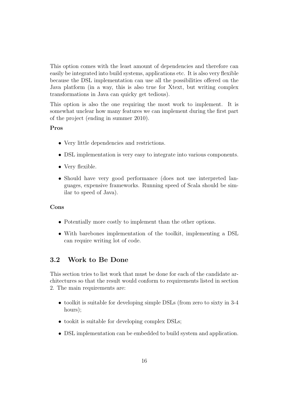This option comes with the least amount of dependencies and therefore can easily be integrated into build systems, applications etc. It is also very flexible because the DSL implementation can use all the possibilities offered on the Java platform (in a way, this is also true for Xtext, but writing complex transformations in Java can quicky get tedious).

This option is also the one requiring the most work to implement. It is somewhat unclear how many features we can implement during the first part of the project (ending in summer 2010).

#### Pros

- Very little dependencies and restrictions.
- DSL implementation is very easy to integrate into various components.
- Very flexible.
- Should have very good performance (does not use interpreted languages, expensive frameworks. Running speed of Scala should be similar to speed of Java).

#### Cons

- Potentially more costly to implement than the other options.
- With barebones implementation of the toolkit, implementing a DSL can require writing lot of code.

#### 3.2 Work to Be Done

This section tries to list work that must be done for each of the candidate architectures so that the result would conform to requirements listed in section 2. The main requirements are:

- toolkit is suitable for developing simple DSLs (from zero to sixty in 3-4 hours);
- tookit is suitable for developing complex DSLs;
- DSL implementation can be embedded to build system and application.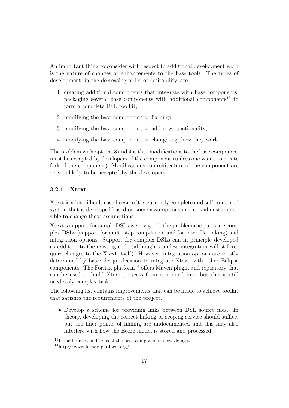An important thing to consider with respect to additional development work is the nature of changes or enhancements to the base tools. The types of development, in the decreasing order of desirability, are:

- 1. creating additional components that integrate with base components, packaging several base components with additional components<sup>13</sup> to form a complete DSL toolkit;
- 2. modifying the base components to fix bugs;
- 3. modifying the base components to add new functionality;
- 4. modifying the base components to change e.g. how they work.

The problem with options 3 and 4 is that modifications to the base component must be accepted by developers of the component (unless one wants to create fork of the component). Modifications to architecture of the component are very unlikely to be accepted by the developers.

#### 3.2.1 Xtext

Xtext is a bit difficult case because it is currently complete and self-contained system that is developed based on some assumptions and it is almost impossible to change these assumptions.

Xtext's support for simple DSLs is very good, the problematic parts are complex DSLs (support for multi-step compilation and for inter-file linking) and integration options. Support for complex DSLs can in principle developed as addition to the existing code (although seamless integration will still require changes to the Xtext itself). However, integration options are mostly determined by basic design decision to integrate Xtext with other Eclipse components. The Fornax platform<sup>14</sup> offers Maven plugin and repository that can be used to build Xtext projects from command line, but this is still needlessly complex task.

The following list contains improvements that can be made to achieve toolkit that satisfies the requirements of the project.

• Develop a scheme for providing links between DSL source files. In theory, developing the correct linking or scoping service should suffice, but the finer points of linking are undocumented and this may also interfere with how the Ecore model is stored and processed.

<sup>&</sup>lt;sup>13</sup>If the licence conditions of the base components allow doing so.

<sup>14</sup>http://www.fornax-platform.org/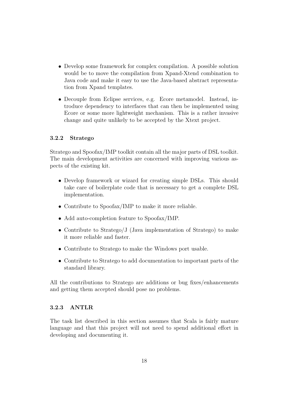- Develop some framework for complex compilation. A possible solution would be to move the compilation from Xpand-Xtend combination to Java code and make it easy to use the Java-based abstract representation from Xpand templates.
- Decouple from Eclipse services, e.g. Ecore metamodel. Instead, introduce dependency to interfaces that can then be implemented using Ecore or some more lightweight mechanism. This is a rather invasive change and quite unlikely to be accepted by the Xtext project.

#### 3.2.2 Stratego

Stratego and Spoofax/IMP toolkit contain all the major parts of DSL toolkit. The main development activities are concerned with improving various aspects of the existing kit.

- Develop framework or wizard for creating simple DSLs. This should take care of boilerplate code that is necessary to get a complete DSL implementation.
- Contribute to Spoofax/IMP to make it more reliable.
- Add auto-completion feature to Spoofax/IMP.
- Contribute to Stratego/J (Java implementation of Stratego) to make it more reliable and faster.
- Contribute to Stratego to make the Windows port usable.
- Contribute to Stratego to add documentation to important parts of the standard library.

All the contributions to Stratego are additions or bug fixes/enhancements and getting them accepted should pose no problems.

#### 3.2.3 ANTLR

The task list described in this section assumes that Scala is fairly mature language and that this project will not need to spend additional effort in developing and documenting it.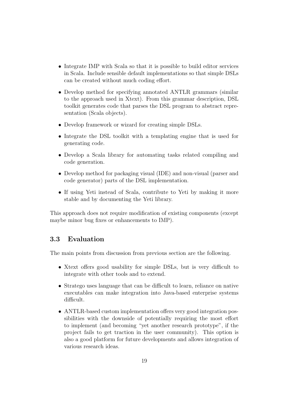- Integrate IMP with Scala so that it is possible to build editor services in Scala. Include sensible default implementations so that simple DSLs can be created without much coding effort.
- Develop method for specifying annotated ANTLR grammars (similar to the approach used in Xtext). From this grammar description, DSL toolkit generates code that parses the DSL program to abstract representation (Scala objects).
- Develop framework or wizard for creating simple DSLs.
- Integrate the DSL toolkit with a templating engine that is used for generating code.
- Develop a Scala library for automating tasks related compiling and code generation.
- Develop method for packaging visual (IDE) and non-visual (parser and code generator) parts of the DSL implementation.
- If using Yeti instead of Scala, contribute to Yeti by making it more stable and by documenting the Yeti library.

This approach does not require modification of existing components (except maybe minor bug fixes or enhancements to IMP).

#### 3.3 Evaluation

The main points from discussion from previous section are the following.

- Xtext offers good usability for simple DSLs, but is very difficult to integrate with other tools and to extend.
- Stratego uses language that can be difficult to learn, reliance on native executables can make integration into Java-based enterprise systems difficult.
- ANTLR-based custom implementation offers very good integration possibilities with the downside of potentially requiring the most effort to implement (and becoming "yet another research prototype", if the project fails to get traction in the user community). This option is also a good platform for future developments and allows integration of various research ideas.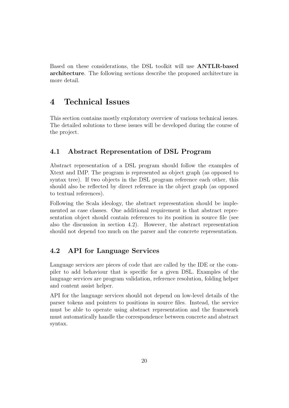Based on these considerations, the DSL toolkit will use ANTLR-based architecture. The following sections describe the proposed architecture in more detail.

### 4 Technical Issues

This section contains mostly exploratory overview of various technical issues. The detailed solutions to these issues will be developed during the course of the project.

#### 4.1 Abstract Representation of DSL Program

Abstract representation of a DSL program should follow the examples of Xtext and IMP. The program is represented as object graph (as opposed to syntax tree). If two objects in the DSL program reference each other, this should also be reflected by direct reference in the object graph (as opposed to textual references).

Following the Scala ideology, the abstract representation should be implemented as case classes. One additional requirement is that abstract representation object should contain references to its position in source file (see also the discussion in section 4.2). However, the abstract representation should not depend too much on the parser and the concrete representation.

#### 4.2 API for Language Services

Language services are pieces of code that are called by the IDE or the compiler to add behaviour that is specific for a given DSL. Examples of the language services are program validation, reference resolution, folding helper and content assist helper.

API for the language services should not depend on low-level details of the parser tokens and pointers to positions in source files. Instead, the service must be able to operate using abstract representation and the framework must automatically handle the correspondence between concrete and abstract syntax.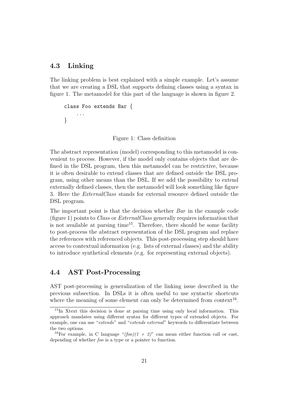#### 4.3 Linking

The linking problem is best explained with a simple example. Let's assume that we are creating a DSL that supports defining classes using a syntax in figure 1. The metamodel for this part of the language is shown in figure 2.

```
class Foo extends Bar {
    ...
}
```
Figure 1: Class definition

The abstract representation (model) corresponding to this metamodel is convenient to process. However, if the model only contains objects that are defined in the DSL program, then this metamodel can be restrictive, because it is often desirable to extend classes that are defined outside the DSL program, using other means than the DSL. If we add the possibility to extend externally defined classes, then the metamodel will look something like figure 3. Here the ExternalClass stands for external resource defined outside the DSL program.

The important point is that the decision whether Bar in the example code (figure 1) points to Class or ExternalClass generally requires information that is not available at parsing time<sup>15</sup>. Therefore, there should be some facility to post-process the abstract representation of the DSL program and replace the references with referenced objects. This post-processing step should have access to contextual information (e.g. lists of external classes) and the ability to introduce synthetical elements (e.g. for representing external objects).

#### 4.4 AST Post-Processing

AST post-processing is generalization of the linking issue described in the previous subsection. In DSLs it is often useful to use syntactic shortcuts where the meaning of some element can only be determined from context<sup>16</sup>.

<sup>15</sup>In Xtext this decision is done at parsing time using only local information. This approach mandates using different syntax for different types of extended objects. For example, one can use "extends" and "extends external" keywords to differentiate between the two options.

<sup>&</sup>lt;sup>16</sup>For example, in C language " $(foo)(1 + 2)$ " can mean either function call or cast, depending of whether foo is a type or a pointer to function.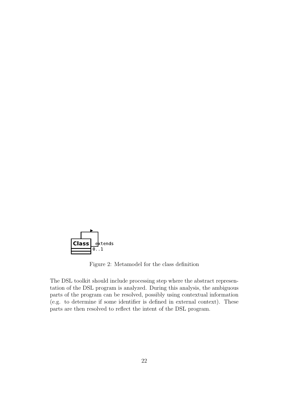

Figure 2: Metamodel for the class definition

The DSL toolkit should include processing step where the abstract representation of the DSL program is analyzed. During this analysis, the ambiguous parts of the program can be resolved, possibly using contextual information (e.g. to determine if some identifier is defined in external context). These parts are then resolved to reflect the intent of the DSL program.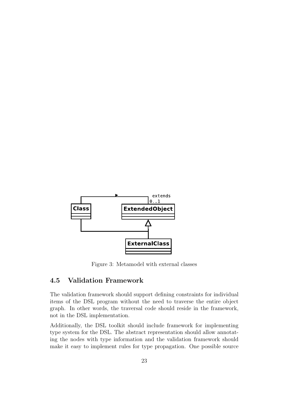

Figure 3: Metamodel with external classes

#### 4.5 Validation Framework

The validation framework should support defining constraints for individual items of the DSL program without the need to traverse the entire object graph. In other words, the traversal code should reside in the framework, not in the DSL implementation.

Additionally, the DSL toolkit should include framework for implementing type system for the DSL. The abstract representation should allow annotating the nodes with type information and the validation framework should make it easy to implement rules for type propagation. One possible source